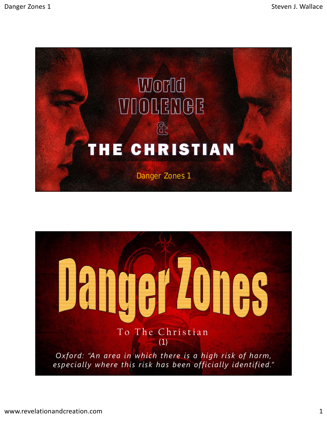

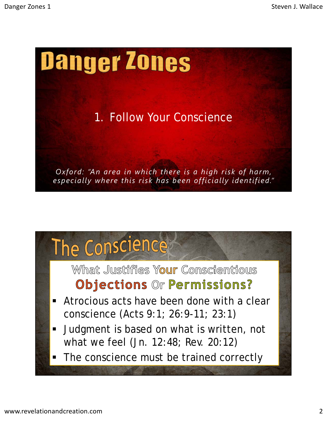

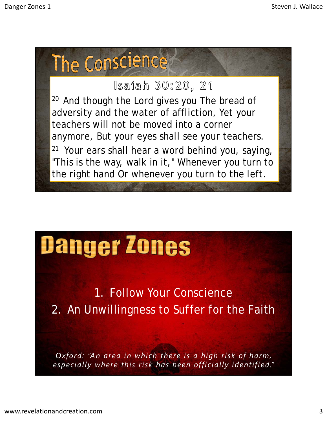

## Danger Zones

1. Follow Your Conscience 2. An Unwillingness to Suffer for the Faith

*Oxford: "An area in which there is a high risk of harm, especially where this risk has been officially identified."*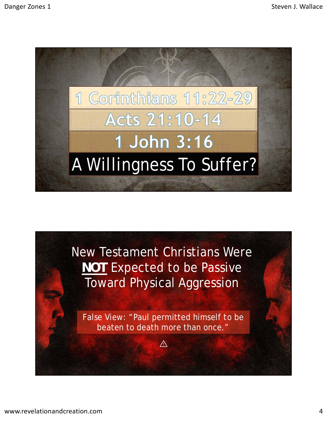